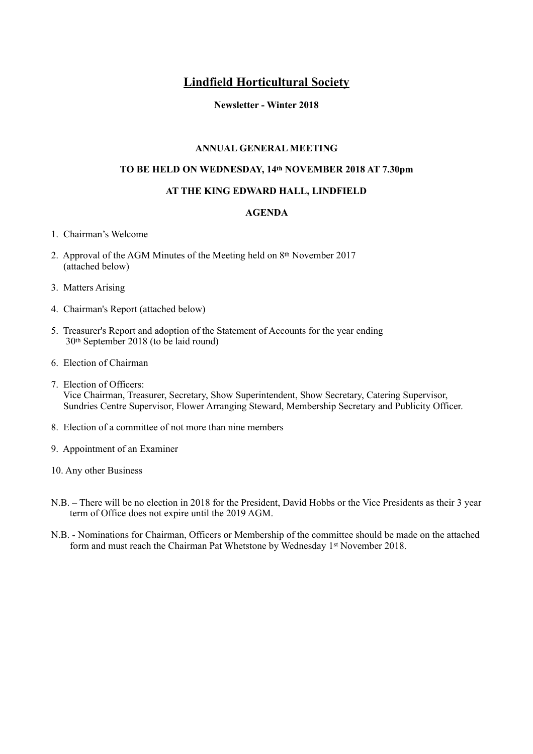# **Lindfield Horticultural Society**

#### **Newsletter - Winter 2018**

#### **ANNUAL GENERAL MEETING**

#### **TO BE HELD ON WEDNESDAY, 14th NOVEMBER 2018 AT 7.30pm**

#### **AT THE KING EDWARD HALL, LINDFIELD**

#### **AGENDA**

- 1. Chairman's Welcome
- 2. Approval of the AGM Minutes of the Meeting held on 8th November 2017 (attached below)
- 3. Matters Arising
- 4. Chairman's Report (attached below)
- 5. Treasurer's Report and adoption of the Statement of Accounts for the year ending 30th September 2018 (to be laid round)
- 6. Election of Chairman
- 7. Election of Officers: Vice Chairman, Treasurer, Secretary, Show Superintendent, Show Secretary, Catering Supervisor, Sundries Centre Supervisor, Flower Arranging Steward, Membership Secretary and Publicity Officer.
- 8. Election of a committee of not more than nine members
- 9. Appointment of an Examiner
- 10. Any other Business
- N.B. There will be no election in 2018 for the President, David Hobbs or the Vice Presidents as their 3 year term of Office does not expire until the 2019 AGM.
- N.B. Nominations for Chairman, Officers or Membership of the committee should be made on the attached form and must reach the Chairman Pat Whetstone by Wednesday 1st November 2018.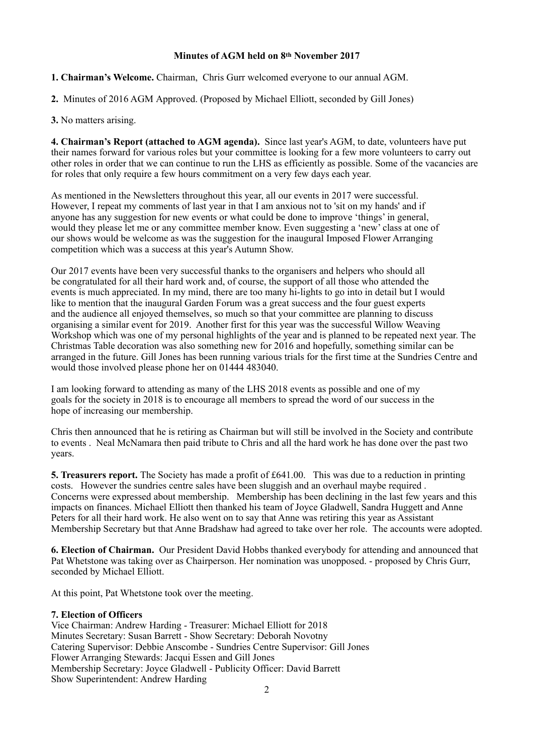#### **Minutes of AGM held on 8th November 2017**

**1. Chairman's Welcome.** Chairman, Chris Gurr welcomed everyone to our annual AGM.

**2.** Minutes of 2016 AGM Approved. (Proposed by Michael Elliott, seconded by Gill Jones)

#### **3.** No matters arising.

**4. Chairman's Report (attached to AGM agenda).** Since last year's AGM, to date, volunteers have put their names forward for various roles but your committee is looking for a few more volunteers to carry out other roles in order that we can continue to run the LHS as efficiently as possible. Some of the vacancies are for roles that only require a few hours commitment on a very few days each year.

As mentioned in the Newsletters throughout this year, all our events in 2017 were successful. However, I repeat my comments of last year in that I am anxious not to 'sit on my hands' and if anyone has any suggestion for new events or what could be done to improve 'things' in general, would they please let me or any committee member know. Even suggesting a 'new' class at one of our shows would be welcome as was the suggestion for the inaugural Imposed Flower Arranging competition which was a success at this year's Autumn Show.

Our 2017 events have been very successful thanks to the organisers and helpers who should all be congratulated for all their hard work and, of course, the support of all those who attended the events is much appreciated. In my mind, there are too many hi-lights to go into in detail but I would like to mention that the inaugural Garden Forum was a great success and the four guest experts and the audience all enjoyed themselves, so much so that your committee are planning to discuss organising a similar event for 2019. Another first for this year was the successful Willow Weaving Workshop which was one of my personal highlights of the year and is planned to be repeated next year. The Christmas Table decoration was also something new for 2016 and hopefully, something similar can be arranged in the future. Gill Jones has been running various trials for the first time at the Sundries Centre and would those involved please phone her on 01444 483040.

I am looking forward to attending as many of the LHS 2018 events as possible and one of my goals for the society in 2018 is to encourage all members to spread the word of our success in the hope of increasing our membership.

Chris then announced that he is retiring as Chairman but will still be involved in the Society and contribute to events . Neal McNamara then paid tribute to Chris and all the hard work he has done over the past two years.

**5. Treasurers report.** The Society has made a profit of £641.00. This was due to a reduction in printing costs. However the sundries centre sales have been sluggish and an overhaul maybe required . Concerns were expressed about membership. Membership has been declining in the last few years and this impacts on finances. Michael Elliott then thanked his team of Joyce Gladwell, Sandra Huggett and Anne Peters for all their hard work. He also went on to say that Anne was retiring this year as Assistant Membership Secretary but that Anne Bradshaw had agreed to take over her role. The accounts were adopted.

**6. Election of Chairman.** Our President David Hobbs thanked everybody for attending and announced that Pat Whetstone was taking over as Chairperson. Her nomination was unopposed. - proposed by Chris Gurr, seconded by Michael Elliott.

At this point, Pat Whetstone took over the meeting.

#### **7. Election of Officers**

Vice Chairman: Andrew Harding - Treasurer: Michael Elliott for 2018 Minutes Secretary: Susan Barrett - Show Secretary: Deborah Novotny Catering Supervisor: Debbie Anscombe - Sundries Centre Supervisor: Gill Jones Flower Arranging Stewards: Jacqui Essen and Gill Jones Membership Secretary: Joyce Gladwell - Publicity Officer: David Barrett Show Superintendent: Andrew Harding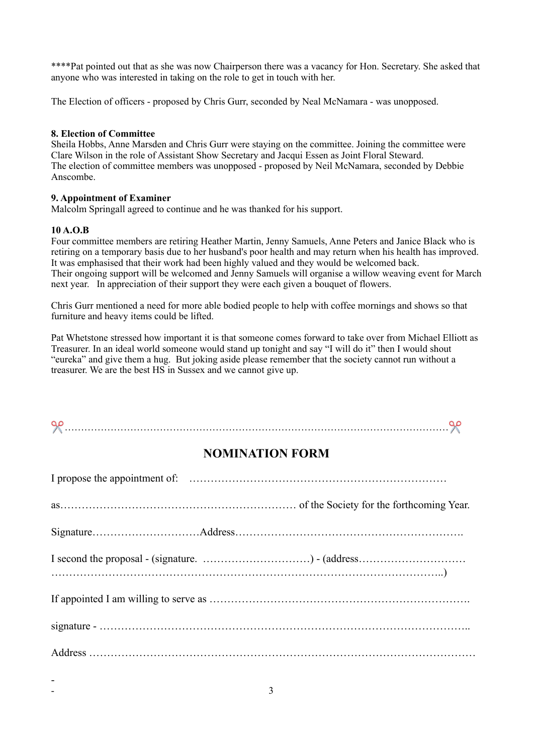\*\*\*\*Pat pointed out that as she was now Chairperson there was a vacancy for Hon. Secretary. She asked that anyone who was interested in taking on the role to get in touch with her.

The Election of officers - proposed by Chris Gurr, seconded by Neal McNamara - was unopposed.

#### **8. Election of Committee**

Sheila Hobbs, Anne Marsden and Chris Gurr were staying on the committee. Joining the committee were Clare Wilson in the role of Assistant Show Secretary and Jacqui Essen as Joint Floral Steward. The election of committee members was unopposed - proposed by Neil McNamara, seconded by Debbie Anscombe.

#### **9. Appointment of Examiner**

Malcolm Springall agreed to continue and he was thanked for his support.

## **10 A.O.B**

-

Four committee members are retiring Heather Martin, Jenny Samuels, Anne Peters and Janice Black who is retiring on a temporary basis due to her husband's poor health and may return when his health has improved. It was emphasised that their work had been highly valued and they would be welcomed back. Their ongoing support will be welcomed and Jenny Samuels will organise a willow weaving event for March next year. In appreciation of their support they were each given a bouquet of flowers.

Chris Gurr mentioned a need for more able bodied people to help with coffee mornings and shows so that furniture and heavy items could be lifted.

Pat Whetstone stressed how important it is that someone comes forward to take over from Michael Elliott as Treasurer. In an ideal world someone would stand up tonight and say "I will do it" then I would shout "eureka" and give them a hug. But joking aside please remember that the society cannot run without a treasurer. We are the best HS in Sussex and we cannot give up.

# ✂ ………………………………………………………………………………………………………✂

# **NOMINATION FORM**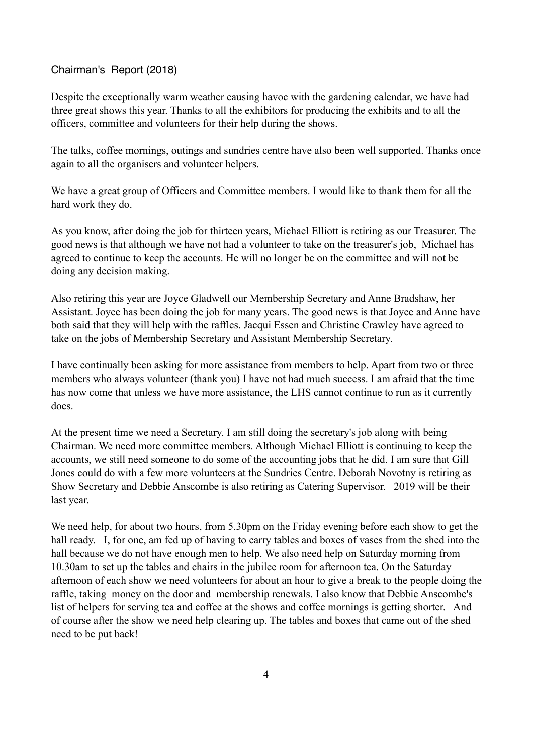## Chairman's Report (2018)

Despite the exceptionally warm weather causing havoc with the gardening calendar, we have had three great shows this year. Thanks to all the exhibitors for producing the exhibits and to all the officers, committee and volunteers for their help during the shows.

The talks, coffee mornings, outings and sundries centre have also been well supported. Thanks once again to all the organisers and volunteer helpers.

We have a great group of Officers and Committee members. I would like to thank them for all the hard work they do.

As you know, after doing the job for thirteen years, Michael Elliott is retiring as our Treasurer. The good news is that although we have not had a volunteer to take on the treasurer's job, Michael has agreed to continue to keep the accounts. He will no longer be on the committee and will not be doing any decision making.

Also retiring this year are Joyce Gladwell our Membership Secretary and Anne Bradshaw, her Assistant. Joyce has been doing the job for many years. The good news is that Joyce and Anne have both said that they will help with the raffles. Jacqui Essen and Christine Crawley have agreed to take on the jobs of Membership Secretary and Assistant Membership Secretary.

I have continually been asking for more assistance from members to help. Apart from two or three members who always volunteer (thank you) I have not had much success. I am afraid that the time has now come that unless we have more assistance, the LHS cannot continue to run as it currently does.

At the present time we need a Secretary. I am still doing the secretary's job along with being Chairman. We need more committee members. Although Michael Elliott is continuing to keep the accounts, we still need someone to do some of the accounting jobs that he did. I am sure that Gill Jones could do with a few more volunteers at the Sundries Centre. Deborah Novotny is retiring as Show Secretary and Debbie Anscombe is also retiring as Catering Supervisor. 2019 will be their last year.

We need help, for about two hours, from 5.30pm on the Friday evening before each show to get the hall ready. I, for one, am fed up of having to carry tables and boxes of vases from the shed into the hall because we do not have enough men to help. We also need help on Saturday morning from 10.30am to set up the tables and chairs in the jubilee room for afternoon tea. On the Saturday afternoon of each show we need volunteers for about an hour to give a break to the people doing the raffle, taking money on the door and membership renewals. I also know that Debbie Anscombe's list of helpers for serving tea and coffee at the shows and coffee mornings is getting shorter. And of course after the show we need help clearing up. The tables and boxes that came out of the shed need to be put back!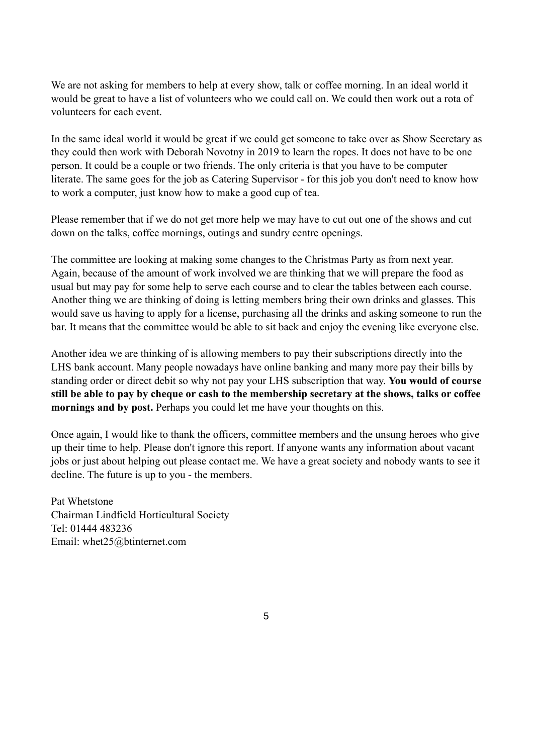We are not asking for members to help at every show, talk or coffee morning. In an ideal world it would be great to have a list of volunteers who we could call on. We could then work out a rota of volunteers for each event.

In the same ideal world it would be great if we could get someone to take over as Show Secretary as they could then work with Deborah Novotny in 2019 to learn the ropes. It does not have to be one person. It could be a couple or two friends. The only criteria is that you have to be computer literate. The same goes for the job as Catering Supervisor - for this job you don't need to know how to work a computer, just know how to make a good cup of tea.

Please remember that if we do not get more help we may have to cut out one of the shows and cut down on the talks, coffee mornings, outings and sundry centre openings.

The committee are looking at making some changes to the Christmas Party as from next year. Again, because of the amount of work involved we are thinking that we will prepare the food as usual but may pay for some help to serve each course and to clear the tables between each course. Another thing we are thinking of doing is letting members bring their own drinks and glasses. This would save us having to apply for a license, purchasing all the drinks and asking someone to run the bar. It means that the committee would be able to sit back and enjoy the evening like everyone else.

Another idea we are thinking of is allowing members to pay their subscriptions directly into the LHS bank account. Many people nowadays have online banking and many more pay their bills by standing order or direct debit so why not pay your LHS subscription that way. **You would of course still be able to pay by cheque or cash to the membership secretary at the shows, talks or coffee mornings and by post.** Perhaps you could let me have your thoughts on this.

Once again, I would like to thank the officers, committee members and the unsung heroes who give up their time to help. Please don't ignore this report. If anyone wants any information about vacant jobs or just about helping out please contact me. We have a great society and nobody wants to see it decline. The future is up to you - the members.

Pat Whetstone Chairman Lindfield Horticultural Society Tel: 01444 483236 Email: whet25@btinternet.com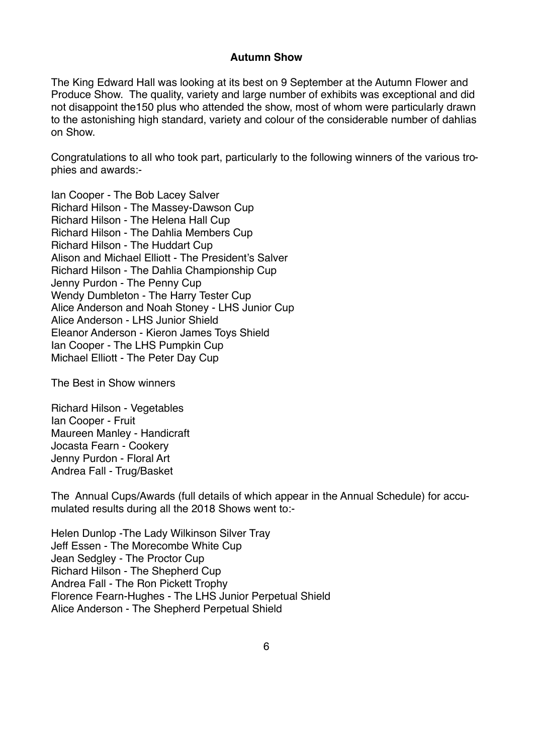## **Autumn Show**

The King Edward Hall was looking at its best on 9 September at the Autumn Flower and Produce Show. The quality, variety and large number of exhibits was exceptional and did not disappoint the150 plus who attended the show, most of whom were particularly drawn to the astonishing high standard, variety and colour of the considerable number of dahlias on Show.

Congratulations to all who took part, particularly to the following winners of the various trophies and awards:-

Ian Cooper - The Bob Lacey Salver Richard Hilson - The Massey-Dawson Cup Richard Hilson - The Helena Hall Cup Richard Hilson - The Dahlia Members Cup Richard Hilson - The Huddart Cup Alison and Michael Elliott - The President's Salver Richard Hilson - The Dahlia Championship Cup Jenny Purdon - The Penny Cup Wendy Dumbleton - The Harry Tester Cup Alice Anderson and Noah Stoney - LHS Junior Cup Alice Anderson - LHS Junior Shield Eleanor Anderson - Kieron James Toys Shield Ian Cooper - The LHS Pumpkin Cup Michael Elliott - The Peter Day Cup

The Best in Show winners

Richard Hilson - Vegetables Ian Cooper - Fruit Maureen Manley - Handicraft Jocasta Fearn - Cookery Jenny Purdon - Floral Art Andrea Fall - Trug/Basket

The Annual Cups/Awards (full details of which appear in the Annual Schedule) for accumulated results during all the 2018 Shows went to:-

Helen Dunlop -The Lady Wilkinson Silver Tray Jeff Essen - The Morecombe White Cup Jean Sedgley - The Proctor Cup Richard Hilson - The Shepherd Cup Andrea Fall - The Ron Pickett Trophy Florence Fearn-Hughes - The LHS Junior Perpetual Shield Alice Anderson - The Shepherd Perpetual Shield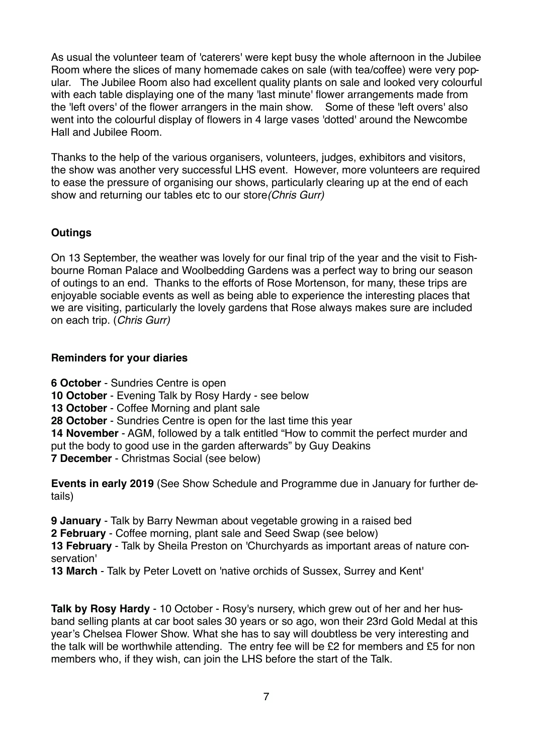As usual the volunteer team of 'caterers' were kept busy the whole afternoon in the Jubilee Room where the slices of many homemade cakes on sale (with tea/coffee) were very popular. The Jubilee Room also had excellent quality plants on sale and looked very colourful with each table displaying one of the many 'last minute' flower arrangements made from the 'left overs' of the flower arrangers in the main show. Some of these 'left overs' also went into the colourful display of flowers in 4 large vases 'dotted' around the Newcombe Hall and Jubilee Room.

Thanks to the help of the various organisers, volunteers, judges, exhibitors and visitors, the show was another very successful LHS event. However, more volunteers are required to ease the pressure of organising our shows, particularly clearing up at the end of each show and returning our tables etc to our store*(Chris Gurr)*

# **Outings**

On 13 September, the weather was lovely for our final trip of the year and the visit to Fishbourne Roman Palace and Woolbedding Gardens was a perfect way to bring our season of outings to an end. Thanks to the efforts of Rose Mortenson, for many, these trips are enjoyable sociable events as well as being able to experience the interesting places that we are visiting, particularly the lovely gardens that Rose always makes sure are included on each trip. (*Chris Gurr)*

# **Reminders for your diaries**

**6 October** - Sundries Centre is open **10 October** - Evening Talk by Rosy Hardy - see below **13 October** - Coffee Morning and plant sale **28 October** - Sundries Centre is open for the last time this year **14 November** - AGM, followed by a talk entitled "How to commit the perfect murder and put the body to good use in the garden afterwards" by Guy Deakins **7 December** - Christmas Social (see below)

**Events in early 2019** (See Show Schedule and Programme due in January for further details)

**9 January** - Talk by Barry Newman about vegetable growing in a raised bed **2 February** - Coffee morning, plant sale and Seed Swap (see below) **13 February** - Talk by Sheila Preston on 'Churchyards as important areas of nature conservation'

**13 March** - Talk by Peter Lovett on 'native orchids of Sussex, Surrey and Kent'

**Talk by Rosy Hardy** - 10 October - Rosy's nursery, which grew out of her and her husband selling plants at car boot sales 30 years or so ago, won their 23rd Gold Medal at this year's Chelsea Flower Show. What she has to say will doubtless be very interesting and the talk will be worthwhile attending. The entry fee will be £2 for members and £5 for non members who, if they wish, can join the LHS before the start of the Talk.